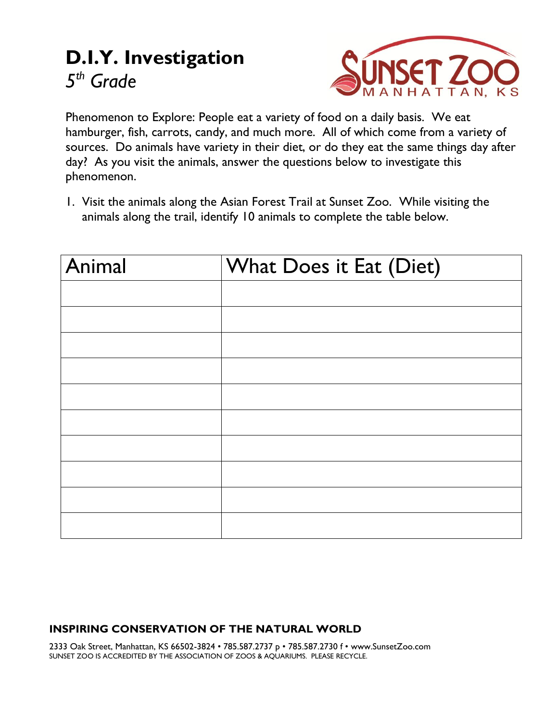## **D.I.Y. Investigation** *5 th Grade*



Phenomenon to Explore: People eat a variety of food on a daily basis. We eat hamburger, fish, carrots, candy, and much more. All of which come from a variety of sources. Do animals have variety in their diet, or do they eat the same things day after day? As you visit the animals, answer the questions below to investigate this phenomenon.

1. Visit the animals along the Asian Forest Trail at Sunset Zoo. While visiting the animals along the trail, identify 10 animals to complete the table below.

| Animal | What Does it Eat (Diet) |
|--------|-------------------------|
|        |                         |
|        |                         |
|        |                         |
|        |                         |
|        |                         |
|        |                         |
|        |                         |
|        |                         |
|        |                         |
|        |                         |

## **INSPIRING CONSERVATION OF THE NATURAL WORLD**

2333 Oak Street, Manhattan, KS 66502-3824 • 785.587.2737 p • 785.587.2730 f • www.SunsetZoo.com SUNSET ZOO IS ACCREDITED BY THE ASSOCIATION OF ZOOS & AQUARIUMS. PLEASE RECYCLE.